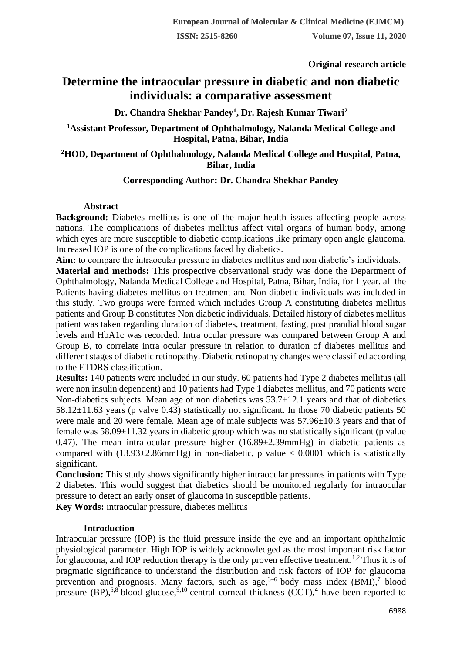**Original research article** 

# **Determine the intraocular pressure in diabetic and non diabetic individuals: a comparative assessment**

**Dr. Chandra Shekhar Pandey<sup>1</sup> , Dr. Rajesh Kumar Tiwari<sup>2</sup>**

**<sup>1</sup>Assistant Professor, Department of Ophthalmology, Nalanda Medical College and Hospital, Patna, Bihar, India**

# **<sup>2</sup>HOD, Department of Ophthalmology, Nalanda Medical College and Hospital, Patna, Bihar, India**

# **Corresponding Author: Dr. Chandra Shekhar Pandey**

## **Abstract**

**Background:** Diabetes mellitus is one of the major health issues affecting people across nations. The complications of diabetes mellitus affect vital organs of human body, among which eyes are more susceptible to diabetic complications like primary open angle glaucoma. Increased IOP is one of the complications faced by diabetics.

**Aim:** to compare the intraocular pressure in diabetes mellitus and non diabetic's individuals.

**Material and methods:** This prospective observational study was done the Department of Ophthalmology, Nalanda Medical College and Hospital, Patna, Bihar, India, for 1 year. all the Patients having diabetes mellitus on treatment and Non diabetic individuals was included in this study. Two groups were formed which includes Group A constituting diabetes mellitus patients and Group B constitutes Non diabetic individuals. Detailed history of diabetes mellitus patient was taken regarding duration of diabetes, treatment, fasting, post prandial blood sugar levels and HbA1c was recorded. Intra ocular pressure was compared between Group A and Group B, to correlate intra ocular pressure in relation to duration of diabetes mellitus and different stages of diabetic retinopathy. Diabetic retinopathy changes were classified according to the ETDRS classification.

**Results:** 140 patients were included in our study. 60 patients had Type 2 diabetes mellitus (all were non insulin dependent) and 10 patients had Type 1 diabetes mellitus, and 70 patients were Non-diabetics subjects. Mean age of non diabetics was 53.7±12.1 years and that of diabetics 58.12±11.63 years (p valve 0.43) statistically not significant. In those 70 diabetic patients 50 were male and 20 were female. Mean age of male subjects was  $57.96\pm10.3$  years and that of female was  $58.09 \pm 11.32$  years in diabetic group which was no statistically significant (p value 0.47). The mean intra-ocular pressure higher  $(16.89 \pm 2.39 \text{mm})$  in diabetic patients as compared with  $(13.93\pm 2.86$ mmHg) in non-diabetic, p value  $< 0.0001$  which is statistically significant.

**Conclusion:** This study shows significantly higher intraocular pressures in patients with Type 2 diabetes. This would suggest that diabetics should be monitored regularly for intraocular pressure to detect an early onset of glaucoma in susceptible patients.

**Key Words:** intraocular pressure, diabetes mellitus

## **Introduction**

Intraocular pressure (IOP) is the fluid pressure inside the eye and an important ophthalmic physiological parameter. High IOP is widely acknowledged as the most important risk factor for glaucoma, and IOP reduction therapy is the only proven effective treatment.<sup>1,2</sup> Thus it is of pragmatic significance to understand the distribution and risk factors of IOP for glaucoma prevention and prognosis. Many factors, such as  $age^{3-6}$  body mass index  $(BMI)$ , blood pressure (BP),<sup>5,8</sup> blood glucose,<sup>9,10</sup> central corneal thickness (CCT),<sup>4</sup> have been reported to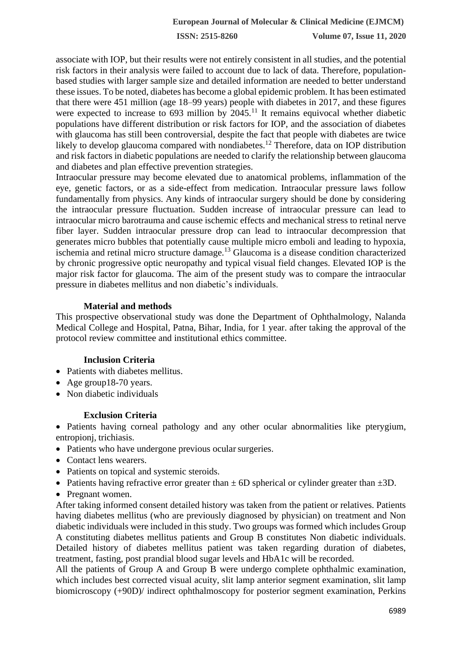associate with IOP, but their results were not entirely consistent in all studies, and the potential risk factors in their analysis were failed to account due to lack of data. Therefore, populationbased studies with larger sample size and detailed information are needed to better understand these issues. To be noted, diabetes has become a global epidemic problem. It has been estimated that there were 451 million (age 18–99 years) people with diabetes in 2017, and these figures were expected to increase to 693 million by  $2045$ .<sup>11</sup> It remains equivocal whether diabetic populations have different distribution or risk factors for IOP, and the association of diabetes with glaucoma has still been controversial, despite the fact that people with diabetes are twice likely to develop glaucoma compared with nondiabetes.<sup>12</sup> Therefore, data on IOP distribution and risk factors in diabetic populations are needed to clarify the relationship between glaucoma and diabetes and plan effective prevention strategies.

Intraocular pressure may become elevated due to anatomical problems, inflammation of the eye, genetic factors, or as a side-effect from medication. Intraocular pressure laws follow fundamentally from physics. Any kinds of intraocular surgery should be done by considering the intraocular pressure fluctuation. Sudden increase of intraocular pressure can lead to intraocular micro barotrauma and cause ischemic effects and mechanical stress to retinal nerve fiber layer. Sudden intraocular pressure drop can lead to intraocular decompression that generates micro bubbles that potentially cause multiple micro emboli and leading to hypoxia, ischemia and retinal micro structure damage.<sup>13</sup> Glaucoma is a disease condition characterized by chronic progressive optic neuropathy and typical visual field changes. Elevated IOP is the major risk factor for glaucoma. The aim of the present study was to compare the intraocular pressure in diabetes mellitus and non diabetic's individuals.

### **Material and methods**

This prospective observational study was done the Department of Ophthalmology, Nalanda Medical College and Hospital, Patna, Bihar, India, for 1 year. after taking the approval of the protocol review committee and institutional ethics committee.

### **Inclusion Criteria**

- Patients with diabetes mellitus.
- Age group18-70 years.
- Non diabetic individuals

### **Exclusion Criteria**

• Patients having corneal pathology and any other ocular abnormalities like pterygium, entropionj, trichiasis.

- Patients who have undergone previous ocular surgeries.
- Contact lens wearers.
- Patients on topical and systemic steroids.
- Patients having refractive error greater than  $\pm$  6D spherical or cylinder greater than  $\pm$ 3D.
- Pregnant women.

After taking informed consent detailed history was taken from the patient or relatives. Patients having diabetes mellitus (who are previously diagnosed by physician) on treatment and Non diabetic individuals were included in this study. Two groups was formed which includes Group A constituting diabetes mellitus patients and Group B constitutes Non diabetic individuals. Detailed history of diabetes mellitus patient was taken regarding duration of diabetes, treatment, fasting, post prandial blood sugar levels and HbA1c will be recorded.

All the patients of Group A and Group B were undergo complete ophthalmic examination, which includes best corrected visual acuity, slit lamp anterior segment examination, slit lamp biomicroscopy (+90D)/ indirect ophthalmoscopy for posterior segment examination, Perkins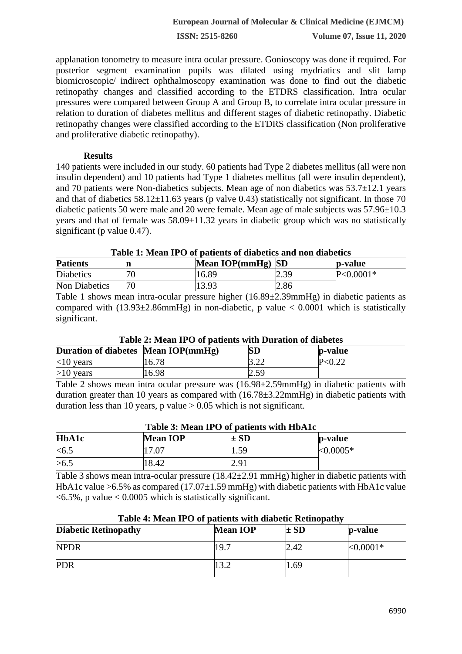applanation tonometry to measure intra ocular pressure. Gonioscopy was done if required. For posterior segment examination pupils was dilated using mydriatics and slit lamp biomicroscopic/ indirect ophthalmoscopy examination was done to find out the diabetic retinopathy changes and classified according to the ETDRS classification. Intra ocular pressures were compared between Group A and Group B, to correlate intra ocular pressure in relation to duration of diabetes mellitus and different stages of diabetic retinopathy. Diabetic retinopathy changes were classified according to the ETDRS classification (Non proliferative and proliferative diabetic retinopathy).

## **Results**

140 patients were included in our study. 60 patients had Type 2 diabetes mellitus (all were non insulin dependent) and 10 patients had Type 1 diabetes mellitus (all were insulin dependent), and 70 patients were Non-diabetics subjects. Mean age of non diabetics was 53.7±12.1 years and that of diabetics  $58.12 \pm 11.63$  years (p valve 0.43) statistically not significant. In those 70 diabetic patients 50 were male and 20 were female. Mean age of male subjects was 57.96 $\pm$ 10.3 years and that of female was 58.09±11.32 years in diabetic group which was no statistically significant (p value 0.47).

#### **Table 1: Mean IPO of patients of diabetics and non diabetics**

| <b>Patients</b>  | Mean IOP(mmHg) SD |             | p-value       |
|------------------|-------------------|-------------|---------------|
| <b>Diabetics</b> | 16.89             | 7 ZC<br>. ب | $P < 0.0001*$ |
| Non Diabetics    | 13 93             | 2.86        |               |

Table 1 shows mean intra-ocular pressure higher (16.89±2.39mmHg) in diabetic patients as compared with  $(13.93\pm 2.86$ mmHg) in non-diabetic, p value  $< 0.0001$  which is statistically significant.

### **Table 2: Mean IPO of patients with Duration of diabetes**

| Duration of diabetes Mean IOP(mmHg) |       | ${\bf SD}$   | p-value |
|-------------------------------------|-------|--------------|---------|
| $<10$ years                         | 16.78 | 2 OC<br>3.22 |         |
| $>10$ years                         | 16.98 | -50<br>. ب   |         |

Table 2 shows mean intra ocular pressure was (16.98±2.59mmHg) in diabetic patients with duration greater than 10 years as compared with (16.78±3.22mmHg) in diabetic patients with duration less than 10 years, p value  $> 0.05$  which is not significant.

| Table 3: Mean IPO of patients with HbA1c |                 |          |            |  |  |  |
|------------------------------------------|-----------------|----------|------------|--|--|--|
| <b>HbA1c</b>                             | <b>Mean IOP</b> | $\pm$ SD | p-value    |  |  |  |
| < 6.5                                    | 17.07           | 1.59     | $<0.0005*$ |  |  |  |
| >6.5                                     | 18.42           | 2.91     |            |  |  |  |

Table 3 shows mean intra-ocular pressure (18.42±2.91 mmHg) higher in diabetic patients with HbA1c value  $>6.5\%$  as compared (17.07 $\pm$ 1.59 mmHg) with diabetic patients with HbA1c value  $\langle 6.5\%$ , p value  $\langle 0.0005 \text{ which is statistically significant.} \rangle$ 

| Table 4: Mean IPO of patients with diabetic Rethiopathy |                 |          |              |  |  |  |
|---------------------------------------------------------|-----------------|----------|--------------|--|--|--|
| <b>Diabetic Retinopathy</b>                             | <b>Mean IOP</b> | $\pm$ SD | p-value      |  |  |  |
| NPDR                                                    | 19.7            | 2.42     | ${<}0.0001*$ |  |  |  |
| PDR                                                     |                 | .69      |              |  |  |  |

# **Table 4: Mean IPO of patients with diabetic Retinopathy**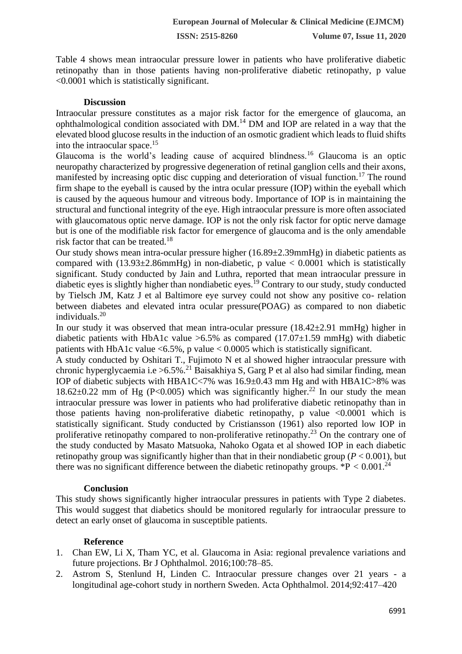Table 4 shows mean intraocular pressure lower in patients who have proliferative diabetic retinopathy than in those patients having non-proliferative diabetic retinopathy, p value <0.0001 which is statistically significant.

#### **Discussion**

Intraocular pressure constitutes as a major risk factor for the emergence of glaucoma, an ophthalmological condition associated with DM.<sup>14</sup> DM and IOP are related in a way that the elevated blood glucose results in the induction of an osmotic gradient which leads to fluid shifts into the intraocular space.<sup>15</sup>

Glaucoma is the world's leading cause of acquired blindness.<sup>16</sup> Glaucoma is an optic neuropathy characterized by progressive degeneration of retinal ganglion cells and their axons, manifested by increasing optic disc cupping and deterioration of visual function.<sup>17</sup> The round firm shape to the eyeball is caused by the intra ocular pressure (IOP) within the eyeball which is caused by the aqueous humour and vitreous body. Importance of IOP is in maintaining the structural and functional integrity of the eye. High intraocular pressure is more often associated with glaucomatous optic nerve damage. IOP is not the only risk factor for optic nerve damage but is one of the modifiable risk factor for emergence of glaucoma and is the only amendable risk factor that can be treated.<sup>18</sup>

Our study shows mean intra-ocular pressure higher (16.89±2.39mmHg) in diabetic patients as compared with  $(13.93\pm 2.86$ mmHg) in non-diabetic, p value  $< 0.0001$  which is statistically significant. Study conducted by Jain and Luthra, reported that mean intraocular pressure in diabetic eyes is slightly higher than nondiabetic eyes.<sup>19</sup> Contrary to our study, study conducted by Tielsch JM, Katz J et al Baltimore eye survey could not show any positive co- relation between diabetes and elevated intra ocular pressure(POAG) as compared to non diabetic individuals.<sup>20</sup>

In our study it was observed that mean intra-ocular pressure  $(18.42 \pm 2.91 \text{ mmHg})$  higher in diabetic patients with HbA1c value  $>6.5\%$  as compared (17.07 $\pm$ 1.59 mmHg) with diabetic patients with HbA1c value  $\langle 6.5\%$ , p value  $\langle 0.0005 \text{ which is statistically significant.}$ 

A study conducted by Oshitari T., Fujimoto N et al showed higher intraocular pressure with chronic hyperglycaemia i.e  $> 6.5\%$ <sup>21</sup> Baisakhiya S, Garg P et al also had similar finding, mean IOP of diabetic subjects with HBA1C<7% was 16.9±0.43 mm Hg and with HBA1C>8% was  $18.62\pm0.22$  mm of Hg (P<0.005) which was significantly higher.<sup>22</sup> In our study the mean intraocular pressure was lower in patients who had proliferative diabetic retinopathy than in those patients having non-proliferative diabetic retinopathy, p value  $\leq 0.0001$  which is statistically significant. Study conducted by Cristiansson (1961) also reported low IOP in proliferative retinopathy compared to non-proliferative retinopathy.<sup>23</sup> On the contrary one of the study conducted by Masato Matsuoka, Nahoko Ogata et al showed IOP in each diabetic retinopathy group was significantly higher than that in their nondiabetic group ( $P < 0.001$ ), but there was no significant difference between the diabetic retinopathy groups.  $*P < 0.001$ .<sup>24</sup>

#### **Conclusion**

This study shows significantly higher intraocular pressures in patients with Type 2 diabetes. This would suggest that diabetics should be monitored regularly for intraocular pressure to detect an early onset of glaucoma in susceptible patients.

### **Reference**

- 1. Chan EW, Li X, Tham YC, et al. Glaucoma in Asia: regional prevalence variations and future projections. Br J Ophthalmol. 2016;100:78–85.
- 2. Astrom S, Stenlund H, Linden C. Intraocular pressure changes over 21 years a longitudinal age-cohort study in northern Sweden. Acta Ophthalmol. 2014;92:417–420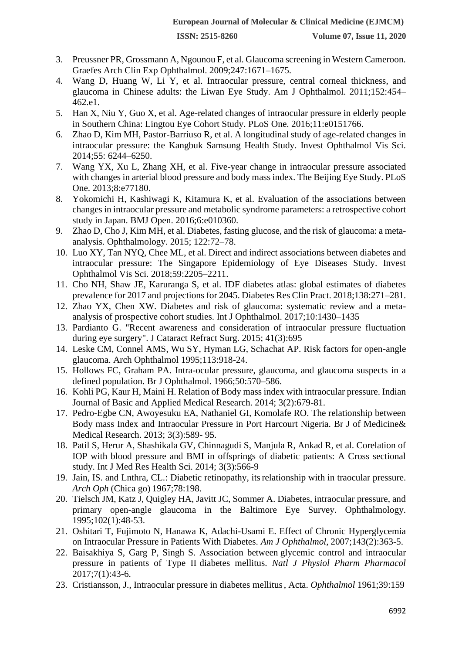- 3. Preussner PR, Grossmann A, Ngounou F, et al. Glaucoma screening in Western Cameroon. Graefes Arch Clin Exp Ophthalmol. 2009;247:1671–1675.
- 4. Wang D, Huang W, Li Y, et al. Intraocular pressure, central corneal thickness, and glaucoma in Chinese adults: the Liwan Eye Study. Am J Ophthalmol. 2011;152:454– 462.e1.
- 5. Han X, Niu Y, Guo X, et al. Age-related changes of intraocular pressure in elderly people in Southern China: Lingtou Eye Cohort Study. PLoS One. 2016;11:e0151766.
- 6. Zhao D, Kim MH, Pastor-Barriuso R, et al. A longitudinal study of age-related changes in intraocular pressure: the Kangbuk Samsung Health Study. Invest Ophthalmol Vis Sci. 2014;55: 6244–6250.
- 7. Wang YX, Xu L, Zhang XH, et al. Five-year change in intraocular pressure associated with changes in arterial blood pressure and body mass index. The Beijing Eye Study. PLoS One. 2013;8:e77180.
- 8. Yokomichi H, Kashiwagi K, Kitamura K, et al. Evaluation of the associations between changes in intraocular pressure and metabolic syndrome parameters: a retrospective cohort study in Japan. BMJ Open. 2016;6:e010360.
- 9. Zhao D, Cho J, Kim MH, et al. Diabetes, fasting glucose, and the risk of glaucoma: a metaanalysis. Ophthalmology. 2015; 122:72–78.
- 10. Luo XY, Tan NYQ, Chee ML, et al. Direct and indirect associations between diabetes and intraocular pressure: The Singapore Epidemiology of Eye Diseases Study. Invest Ophthalmol Vis Sci. 2018;59:2205–2211.
- 11. Cho NH, Shaw JE, Karuranga S, et al. IDF diabetes atlas: global estimates of diabetes prevalence for 2017 and projections for 2045. Diabetes Res Clin Pract. 2018;138:271–281.
- 12. Zhao YX, Chen XW. Diabetes and risk of glaucoma: systematic review and a metaanalysis of prospective cohort studies. Int J Ophthalmol. 2017;10:1430–1435
- 13. Pardianto G. "Recent awareness and consideration of intraocular pressure fluctuation during eye surgery". J Cataract Refract Surg. 2015; 41(3):695
- 14. Leske CM, Connel AMS, Wu SY, Hyman LG, Schachat AP. Risk factors for open-angle glaucoma. Arch Ophthalmol 1995;113:918-24.
- 15. Hollows FC, Graham PA. Intra-ocular pressure, glaucoma, and glaucoma suspects in a defined population. Br J Ophthalmol. 1966;50:570–586.
- 16. Kohli PG, Kaur H, Maini H. Relation of Body mass index with intraocular pressure. Indian Journal of Basic and Applied Medical Research. 2014; 3(2):679-81.
- 17. Pedro-Egbe CN, Awoyesuku EA, Nathaniel GI, Komolafe RO. The relationship between Body mass Index and Intraocular Pressure in Port Harcourt Nigeria. Br J of Medicine& Medical Research. 2013; 3(3):589- 95.
- 18. Patil S, Herur A, Shashikala GV, Chinnagudi S, Manjula R, Ankad R, et al. Corelation of IOP with blood pressure and BMI in offsprings of diabetic patients: A Cross sectional study. Int J Med Res Health Sci. 2014; 3(3):566-9
- 19. Jain, IS. and Lnthra, CL.: Diabetic retinopathy, itsrelationship with in traocular pressure. *Arch Oph* (Chica go) 1967;78:198.
- 20. Tielsch JM, Katz J, Quigley HA, Javitt JC, Sommer A. Diabetes, intraocular pressure, and primary open-angle glaucoma in the Baltimore Eye Survey. Ophthalmology. 1995;102(1):48-53.
- 21. Oshitari T, Fujimoto N, Hanawa K, Adachi-Usami E. Effect of Chronic Hyperglycemia on Intraocular Pressure in Patients With Diabetes. *Am J Ophthalmol*, 2007;143(2):363-5.
- 22. Baisakhiya S, Garg P, Singh S. Association between glycemic control and intraocular pressure in patients of Type II diabetes mellitus. *Natl J Physiol Pharm Pharmacol* 2017;7(1):43-6.
- 23. Cristiansson, J., Intraocular pressure in diabetes mellitus, Acta. *Ophthalmol* 1961;39:159